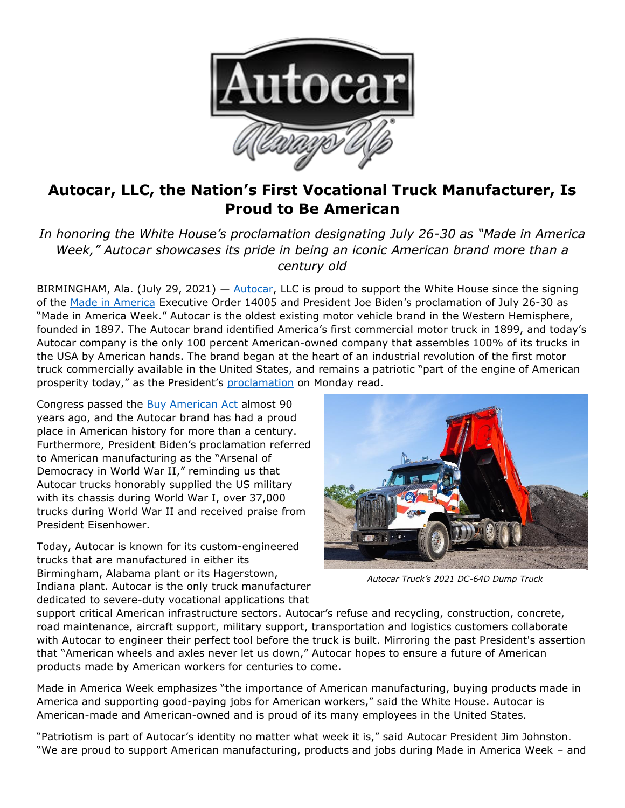

## **Autocar, LLC, the Nation's First Vocational Truck Manufacturer, Is Proud to Be American**

*In honoring the White House's proclamation designating July 26-30 as "Made in America Week," Autocar showcases its pride in being an iconic American brand more than a century old*

BIRMINGHAM, Ala. (July 29, 2021) - [Autocar,](https://www.autocartruck.com/history/?utm_source=Press+Release&utm_medium=Made+in+America+Week&utm_campaign=Autocar+Honors+Made+in+America+Week&utm_id=Autocar) LLC is proud to support the White House since the signing of the [Made in America](https://www.whitehouse.gov/briefing-room/presidential-actions/2021/01/25/executive-order-on-ensuring-the-future-is-made-in-all-of-america-by-all-of-americas-workers/) Executive Order 14005 and President Joe Biden's proclamation of July 26-30 as "Made in America Week." Autocar is the oldest existing motor vehicle brand in the Western Hemisphere, founded in 1897. The Autocar brand identified America's first commercial motor truck in 1899, and today's Autocar company is the only 100 percent American-owned company that assembles 100% of its trucks in the USA by American hands. The brand began at the heart of an industrial revolution of the first motor truck commercially available in the United States, and remains a patriotic "part of the engine of American prosperity today," as the President's [proclamation](https://www.whitehouse.gov/briefing-room/presidential-actions/2021/07/26/a-proclamation-on-made-in-america-week-2021/) on Monday read.

Congress passed the [Buy American Act](https://www.gao.gov/products/105519) almost 90 years ago, and the Autocar brand has had a proud place in American history for more than a century. Furthermore, President Biden's proclamation referred to American manufacturing as the "Arsenal of Democracy in World War II," reminding us that Autocar trucks honorably supplied the US military with its chassis during World War I, over 37,000 trucks during World War II and received praise from President Eisenhower.

Today, Autocar is known for its custom-engineered trucks that are manufactured in either its Birmingham, Alabama plant or its Hagerstown, Indiana plant. Autocar is the only truck manufacturer dedicated to severe-duty vocational applications that



*Autocar Truck's 2021 DC-64D Dump Truck*

support critical American infrastructure sectors. Autocar's refuse and recycling, construction, concrete, road maintenance, aircraft support, military support, transportation and logistics customers collaborate with Autocar to engineer their perfect tool before the truck is built. Mirroring the past President's assertion that "American wheels and axles never let us down," Autocar hopes to ensure a future of American products made by American workers for centuries to come.

Made in America Week emphasizes "the importance of American manufacturing, buying products made in America and supporting good-paying jobs for American workers," said the White House. Autocar is American-made and American-owned and is proud of its many employees in the United States.

"Patriotism is part of Autocar's identity no matter what week it is," said Autocar President Jim Johnston. "We are proud to support American manufacturing, products and jobs during Made in America Week – and